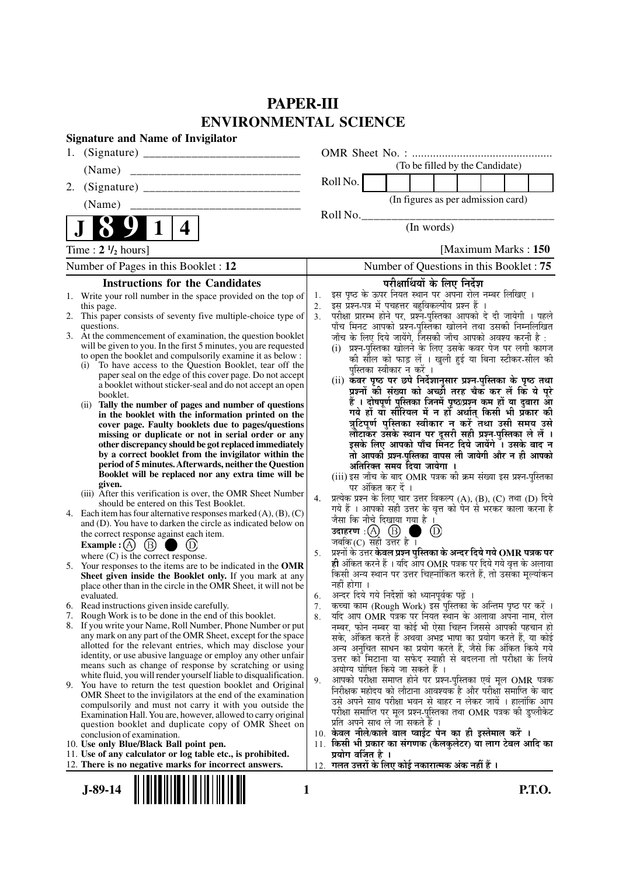# **PAPER-III ENVIRONMENTAL SCIENCE**

| <b>Signature and Name of Invigilator</b>                                                                                                                                                                                                                                                                                                                                                                                                                                                                                                                                                                                                                                                                                                                                                                                                                                                                                                                                                                                                                                                                                                                                                                                                                                                                                                                                                                                                                                                                                                                                                                                                                                                                                                                                                                                                                                                                                       |                                                                                                                                                                                                                                                                                                                                                                                                                                                                                                                                                                                                                                                                                                                                                                                                                                                                                                                                                                                                                                                                                                                                                                                                                                                                                                                                                                                                                                                                                                                                                                                                                                                                                                                                                                                                                                                                                                                                                                                                           |
|--------------------------------------------------------------------------------------------------------------------------------------------------------------------------------------------------------------------------------------------------------------------------------------------------------------------------------------------------------------------------------------------------------------------------------------------------------------------------------------------------------------------------------------------------------------------------------------------------------------------------------------------------------------------------------------------------------------------------------------------------------------------------------------------------------------------------------------------------------------------------------------------------------------------------------------------------------------------------------------------------------------------------------------------------------------------------------------------------------------------------------------------------------------------------------------------------------------------------------------------------------------------------------------------------------------------------------------------------------------------------------------------------------------------------------------------------------------------------------------------------------------------------------------------------------------------------------------------------------------------------------------------------------------------------------------------------------------------------------------------------------------------------------------------------------------------------------------------------------------------------------------------------------------------------------|-----------------------------------------------------------------------------------------------------------------------------------------------------------------------------------------------------------------------------------------------------------------------------------------------------------------------------------------------------------------------------------------------------------------------------------------------------------------------------------------------------------------------------------------------------------------------------------------------------------------------------------------------------------------------------------------------------------------------------------------------------------------------------------------------------------------------------------------------------------------------------------------------------------------------------------------------------------------------------------------------------------------------------------------------------------------------------------------------------------------------------------------------------------------------------------------------------------------------------------------------------------------------------------------------------------------------------------------------------------------------------------------------------------------------------------------------------------------------------------------------------------------------------------------------------------------------------------------------------------------------------------------------------------------------------------------------------------------------------------------------------------------------------------------------------------------------------------------------------------------------------------------------------------------------------------------------------------------------------------------------------------|
| 1.                                                                                                                                                                                                                                                                                                                                                                                                                                                                                                                                                                                                                                                                                                                                                                                                                                                                                                                                                                                                                                                                                                                                                                                                                                                                                                                                                                                                                                                                                                                                                                                                                                                                                                                                                                                                                                                                                                                             |                                                                                                                                                                                                                                                                                                                                                                                                                                                                                                                                                                                                                                                                                                                                                                                                                                                                                                                                                                                                                                                                                                                                                                                                                                                                                                                                                                                                                                                                                                                                                                                                                                                                                                                                                                                                                                                                                                                                                                                                           |
| (Name)                                                                                                                                                                                                                                                                                                                                                                                                                                                                                                                                                                                                                                                                                                                                                                                                                                                                                                                                                                                                                                                                                                                                                                                                                                                                                                                                                                                                                                                                                                                                                                                                                                                                                                                                                                                                                                                                                                                         | (To be filled by the Candidate)                                                                                                                                                                                                                                                                                                                                                                                                                                                                                                                                                                                                                                                                                                                                                                                                                                                                                                                                                                                                                                                                                                                                                                                                                                                                                                                                                                                                                                                                                                                                                                                                                                                                                                                                                                                                                                                                                                                                                                           |
| 2.                                                                                                                                                                                                                                                                                                                                                                                                                                                                                                                                                                                                                                                                                                                                                                                                                                                                                                                                                                                                                                                                                                                                                                                                                                                                                                                                                                                                                                                                                                                                                                                                                                                                                                                                                                                                                                                                                                                             | Roll No.                                                                                                                                                                                                                                                                                                                                                                                                                                                                                                                                                                                                                                                                                                                                                                                                                                                                                                                                                                                                                                                                                                                                                                                                                                                                                                                                                                                                                                                                                                                                                                                                                                                                                                                                                                                                                                                                                                                                                                                                  |
| (Name)                                                                                                                                                                                                                                                                                                                                                                                                                                                                                                                                                                                                                                                                                                                                                                                                                                                                                                                                                                                                                                                                                                                                                                                                                                                                                                                                                                                                                                                                                                                                                                                                                                                                                                                                                                                                                                                                                                                         | (In figures as per admission card)                                                                                                                                                                                                                                                                                                                                                                                                                                                                                                                                                                                                                                                                                                                                                                                                                                                                                                                                                                                                                                                                                                                                                                                                                                                                                                                                                                                                                                                                                                                                                                                                                                                                                                                                                                                                                                                                                                                                                                        |
| 4                                                                                                                                                                                                                                                                                                                                                                                                                                                                                                                                                                                                                                                                                                                                                                                                                                                                                                                                                                                                                                                                                                                                                                                                                                                                                                                                                                                                                                                                                                                                                                                                                                                                                                                                                                                                                                                                                                                              | Roll No.<br>(In words)                                                                                                                                                                                                                                                                                                                                                                                                                                                                                                                                                                                                                                                                                                                                                                                                                                                                                                                                                                                                                                                                                                                                                                                                                                                                                                                                                                                                                                                                                                                                                                                                                                                                                                                                                                                                                                                                                                                                                                                    |
| Time : $2 \frac{1}{2}$ hours]                                                                                                                                                                                                                                                                                                                                                                                                                                                                                                                                                                                                                                                                                                                                                                                                                                                                                                                                                                                                                                                                                                                                                                                                                                                                                                                                                                                                                                                                                                                                                                                                                                                                                                                                                                                                                                                                                                  | [Maximum Marks: 150]                                                                                                                                                                                                                                                                                                                                                                                                                                                                                                                                                                                                                                                                                                                                                                                                                                                                                                                                                                                                                                                                                                                                                                                                                                                                                                                                                                                                                                                                                                                                                                                                                                                                                                                                                                                                                                                                                                                                                                                      |
| Number of Pages in this Booklet : 12                                                                                                                                                                                                                                                                                                                                                                                                                                                                                                                                                                                                                                                                                                                                                                                                                                                                                                                                                                                                                                                                                                                                                                                                                                                                                                                                                                                                                                                                                                                                                                                                                                                                                                                                                                                                                                                                                           | Number of Questions in this Booklet: 75                                                                                                                                                                                                                                                                                                                                                                                                                                                                                                                                                                                                                                                                                                                                                                                                                                                                                                                                                                                                                                                                                                                                                                                                                                                                                                                                                                                                                                                                                                                                                                                                                                                                                                                                                                                                                                                                                                                                                                   |
| <b>Instructions for the Candidates</b>                                                                                                                                                                                                                                                                                                                                                                                                                                                                                                                                                                                                                                                                                                                                                                                                                                                                                                                                                                                                                                                                                                                                                                                                                                                                                                                                                                                                                                                                                                                                                                                                                                                                                                                                                                                                                                                                                         | परीक्षार्थियों के लिए निर्देश                                                                                                                                                                                                                                                                                                                                                                                                                                                                                                                                                                                                                                                                                                                                                                                                                                                                                                                                                                                                                                                                                                                                                                                                                                                                                                                                                                                                                                                                                                                                                                                                                                                                                                                                                                                                                                                                                                                                                                             |
| 1. Write your roll number in the space provided on the top of<br>this page.<br>2. This paper consists of seventy five multiple-choice type of<br>questions.<br>3. At the commencement of examination, the question booklet<br>will be given to you. In the first 5 minutes, you are requested<br>to open the booklet and compulsorily examine it as below :<br>To have access to the Question Booklet, tear off the<br>(i)<br>paper seal on the edge of this cover page. Do not accept<br>a booklet without sticker-seal and do not accept an open<br>booklet.<br>(ii) Tally the number of pages and number of questions<br>in the booklet with the information printed on the<br>cover page. Faulty booklets due to pages/questions<br>missing or duplicate or not in serial order or any<br>other discrepancy should be got replaced immediately<br>by a correct booklet from the invigilator within the<br>period of 5 minutes. Afterwards, neither the Question<br>Booklet will be replaced nor any extra time will be<br>given.<br>(iii) After this verification is over, the OMR Sheet Number<br>should be entered on this Test Booklet.<br>4. Each item has four alternative responses marked $(A)$ , $(B)$ , $(C)$<br>and (D). You have to darken the circle as indicated below on<br>the correct response against each item.<br>(B)<br>Example : $(A)$<br>where $(C)$ is the correct response.<br>5. Your responses to the items are to be indicated in the OMR<br>Sheet given inside the Booklet only. If you mark at any<br>place other than in the circle in the OMR Sheet, it will not be<br>evaluated.<br>6. Read instructions given inside carefully.<br>Rough Work is to be done in the end of this booklet.<br>7.<br>8. If you write your Name, Roll Number, Phone Number or put<br>any mark on any part of the OMR Sheet, except for the space<br>allotted for the relevant entries, which may disclose your | इस पृष्ठ के ऊपर नियत स्थान पर अपना रोल नम्बर लिखिए ।<br>1.<br>इस प्रश्न-पत्र में पचहत्तर बहुविकल्पीय प्रश्न हैं ।<br>2.<br>परीक्षा प्रारम्भ होने पर, प्रश्नॅ-पुस्तिका आपको दे दी जायेगी । पहले<br>3 <sub>1</sub><br>पाँच मिनट आपको प्रश्न-पुस्तिका खोलने तथा उसकी निम्नलिखित<br>जाँच के लिए दिये जायेंगे, जिसकी जाँच आपको अवश्य करनी है :<br>(i) प्रश्न-पुस्तिका खोलने के लिए उसके कवर पेज पर लगी कागज<br>की सील को फाड़ लें । खुली हुई या बिना स्टीकर-सील की<br>पुस्तिका स्वीकार न करें ।<br>(ii) कवर पृष्ठ पर छपे निर्देशानुसार प्रश्न-पुस्तिका के पृष्ठ तथा<br>प्रश्नों की संख्या को अच्छी तरह चैक कर लें कि ये पूरे<br>हैं । दोषपूर्ण पुस्तिका जिनमें पृष्ठ/प्रश्न कम हों या दुबारा आ<br>गये हों या सौरियल में न हों अर्थात् किसी भी प्रॅकार की<br>त्रुटिपूर्ण पुस्तिका स्वीकार न करें तथा उसी समय उसे<br>लौटाकर उसके स्थान पर दूसरी सही प्रश्न-पुस्तिका ले लें ।<br>इसके लिए आपको पाँच मिनट दिये जायेंगे । उसके बाद न<br>तो आपकी प्रश्न-पुस्तिका वापस ली जायेगी और न ही आपको<br>अतिरिक्त समय दिया जायेगा ।<br>(iii) इस जाँच के बाद OMR पत्रक की क्रम संख्या इस प्रश्न-पुस्तिका<br>पर अंकित कर दें ।<br>प्रत्येक प्रश्न के लिए चार उत्तर विकल्प (A), (B), (C) तथा (D) दिये<br>4.<br>गये हैं । आपको सही उत्तर के वृत्त को पेन से भरकर काला करना है<br>जैसा कि नीचे दिखाया गया है ।<br>उदाहरण $\phi(\text{A}) \text{ (B)}$<br>$\circled{D}$<br>जबकि $(C)$ सही उत्तर है ।<br>प्रश्नों के उत्तर केवल प्रश्न पुस्तिका के अन्दर दिये गये OMR पत्रक पर<br>5.<br>ही अंकित करने हैं । यदि आप OMR पत्रक पर दिये गये वृत्त के अलावा<br>किसी अन्य स्थान पर उत्तर चिह्नांकित करते हैं, तो उसका मूल्यांकन<br>नहीं होगा ।<br>अन्दर दिये गये निर्देशों को ध्यानपूर्वक पढ़ें ।<br>6.<br>कच्चा काम (Rough Work) इस पुस्तिका के अन्तिम पृष्ठ पर करें ।<br>7.<br>यदि आप OMR पत्रक पर नियत स्थान के अलावा अपना नाम, रोल<br>8.<br>नम्बर, फोन नम्बर या कोई भी ऐसा चिह्न जिससे आपकी पहचान हो<br>सके, अंकित करते हैं अथवा अभद्र भाषा का प्रयोग करते हैं, या कोई<br>अन्य अनुचित साधन का प्रयोग करते हैं, जैसे कि अंकित किये गये |
| identity, or use abusive language or employ any other unfair<br>means such as change of response by scratching or using<br>white fluid, you will render yourself liable to disqualification.<br>9. You have to return the test question booklet and Original<br>OMR Sheet to the invigilators at the end of the examination<br>compulsorily and must not carry it with you outside the<br>Examination Hall. You are, however, allowed to carry original<br>question booklet and duplicate copy of OMR Sheet on<br>conclusion of examination.<br>10. Use only Blue/Black Ball point pen.<br>11. Use of any calculator or log table etc., is prohibited.<br>12. There is no negative marks for incorrect answers.                                                                                                                                                                                                                                                                                                                                                                                                                                                                                                                                                                                                                                                                                                                                                                                                                                                                                                                                                                                                                                                                                                                                                                                                                | उत्तर को मिटाना या सफेद स्याही से बदलना तो परीक्षा के लिये<br>अयोग्य घोषित किये जा सकते हैं ।<br>आपको परीक्षा समाप्त होने पर प्रश्न-पुस्तिका एवं मूल OMR पत्रक<br>9.<br>निरीक्षक महोदय को लौटाना आवश्यक है और परीक्षा समाप्ति के बाद<br>उसे अपने साथ परीक्षा भवन से बाहर न लेकर जायें । हालांकि आप<br>परीक्षा समाप्ति पर मूल प्रश्न-पुस्तिका तथा OMR पत्रक की डुप्लीकेट<br>प्रति अपने साथ ले जा सकते हैं ।<br>10. केवल नीले/काले बाल प्वाईंट पेन का ही इस्तेमाल करें ।<br>11. किसी भी प्रकार का संगणक (कैलकुलेटर) या लाग टेबल आदि का<br>प्रयोग वर्जित है ।<br>12.  गलत उत्तरों के लिए कोई नकारात्मक अंक नहीं हैं ।                                                                                                                                                                                                                                                                                                                                                                                                                                                                                                                                                                                                                                                                                                                                                                                                                                                                                                                                                                                                                                                                                                                                                                                                                                                                                                                                                                                        |
| $J-89-14$                                                                                                                                                                                                                                                                                                                                                                                                                                                                                                                                                                                                                                                                                                                                                                                                                                                                                                                                                                                                                                                                                                                                                                                                                                                                                                                                                                                                                                                                                                                                                                                                                                                                                                                                                                                                                                                                                                                      | <b>P.T.O.</b><br>1                                                                                                                                                                                                                                                                                                                                                                                                                                                                                                                                                                                                                                                                                                                                                                                                                                                                                                                                                                                                                                                                                                                                                                                                                                                                                                                                                                                                                                                                                                                                                                                                                                                                                                                                                                                                                                                                                                                                                                                        |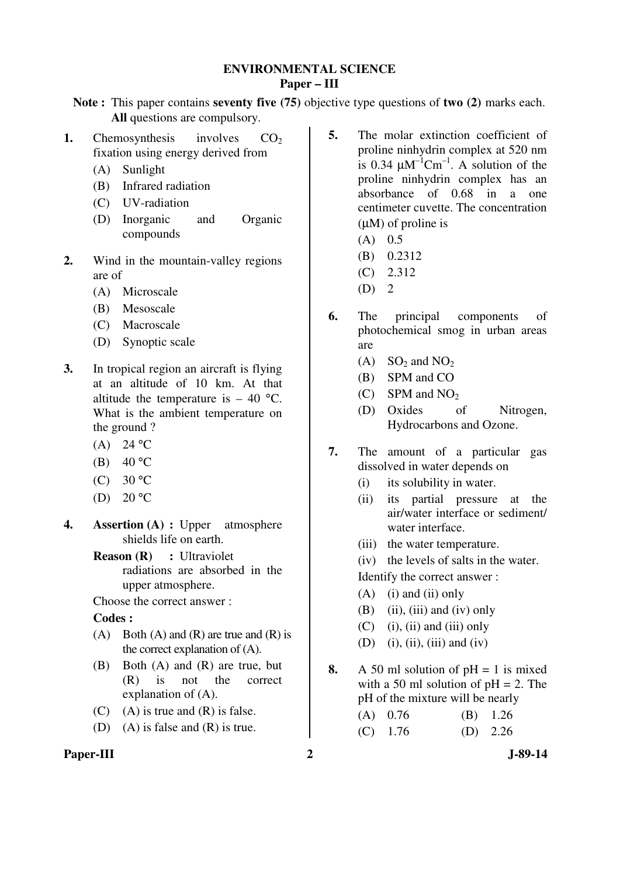## **ENVIRONMENTAL SCIENCE Paper – III**

**Note :** This paper contains **seventy five (75)** objective type questions of **two (2)** marks each. **All** questions are compulsory.

- **1.** Chemosynthesis involves  $CO<sub>2</sub>$ fixation using energy derived from
	- (A) Sunlight
	- (B) Infrared radiation
	- (C) UV-radiation
	- (D) Inorganic and Organic compounds
- **2.** Wind in the mountain-valley regions are of
	- (A) Microscale
	- (B) Mesoscale
	- (C) Macroscale
	- (D) Synoptic scale
- **3.** In tropical region an aircraft is flying at an altitude of 10 km. At that altitude the temperature is  $-40$  °C. What is the ambient temperature on the ground ?
	- (A)  $24 °C$
	- (B)  $40 °C$
	- (C)  $30 °C$
	- (D)  $20 °C$
- **4. Assertion (A) :** Upper atmosphere shields life on earth.
	- **Reason (R) :** Ultraviolet radiations are absorbed in the upper atmosphere.

Choose the correct answer :

# **Codes :**

- (A) Both (A) and (R) are true and (R) is the correct explanation of (A).
- (B) Both (A) and (R) are true, but (R) is not the correct explanation of (A).
- $(C)$  (A) is true and  $(R)$  is false.
- (D) (A) is false and (R) is true.

# Paper-III 2 J-89-14

- **5.** The molar extinction coefficient of proline ninhydrin complex at 520 nm is 0.34  $\mu$ M<sup>-1</sup>Cm<sup>-1</sup>. A solution of the proline ninhydrin complex has an absorbance of 0.68 in a one centimeter cuvette. The concentration (µM) of proline is
	- $(A)$  0.5
	- (B) 0.2312
	- (C) 2.312
	- $(D)$  2
- **6.** The principal components of photochemical smog in urban areas are
	- $(A)$  SO<sub>2</sub> and NO<sub>2</sub>
	- (B) SPM and CO
	- $(C)$  SPM and NO<sub>2</sub>
	- (D) Oxides of Nitrogen, Hydrocarbons and Ozone.
- **7.** The amount of a particular gas dissolved in water depends on
	- (i) its solubility in water.
	- (ii) its partial pressure at the air/water interface or sediment/ water interface.
	- (iii) the water temperature.
	- (iv) the levels of salts in the water. Identify the correct answer :
	- $(A)$  (i) and (ii) only
	- $(B)$  (ii), (iii) and (iv) only
	- $(C)$  (i), (ii) and (iii) only
	- (D) (i), (ii), (iii) and (iv)
- **8.** A 50 ml solution of  $pH = 1$  is mixed with a 50 ml solution of  $pH = 2$ . The pH of the mixture will be nearly

| $(A)$ 0.76 | $(B)$ 1.26 |
|------------|------------|
| $(C)$ 1.76 | (D) $2.26$ |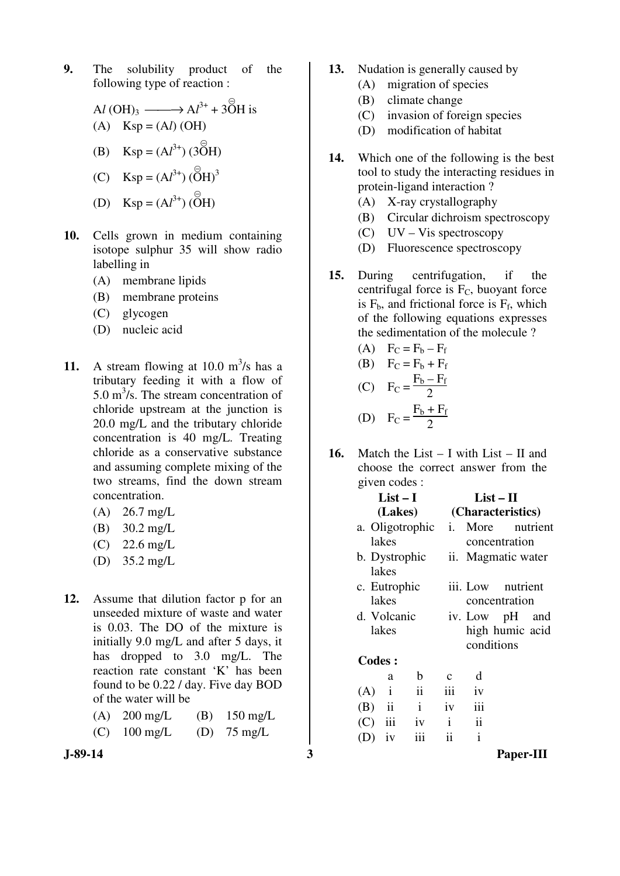**9.** The solubility product of the following type of reaction :

$$
\text{Al } (\text{OH})_3 \longrightarrow \text{Al}^{3+} + 3\overset{\odot}{\text{OH}} \text{ is}
$$
\n
$$
\text{(A)} \quad \text{Ksp} = (\text{Al}) \text{ (OH)}
$$
\n
$$
\text{(B)} \quad \text{Ksp} = (\text{Al}^{3+}) \text{ (3OH)}
$$

- (C)  $Ksp = (Al^{3+}) (O$  $\Theta$  $H)^3$
- (D)  $\text{Ksp} = (Al^{3+}) (\vec{O})$  $\Theta$ H)
- **10.** Cells grown in medium containing isotope sulphur 35 will show radio labelling in
	- (A) membrane lipids
	- (B) membrane proteins
	- (C) glycogen
	- (D) nucleic acid
- 11. A stream flowing at  $10.0 \text{ m}^3\text{/s}$  has a tributary feeding it with a flow of 5.0  $\text{m}^3$ /s. The stream concentration of chloride upstream at the junction is 20.0 mg/L and the tributary chloride concentration is 40 mg/L. Treating chloride as a conservative substance and assuming complete mixing of the two streams, find the down stream concentration.
	- (A) 26.7 mg/L
	- (B) 30.2 mg/L
	- (C) 22.6 mg/L
	- (D) 35.2 mg/L
- **12.** Assume that dilution factor p for an unseeded mixture of waste and water is 0.03. The DO of the mixture is initially 9.0 mg/L and after 5 days, it has dropped to 3.0 mg/L. The reaction rate constant 'K' has been found to be 0.22 / day. Five day BOD of the water will be
	- (A) 200 mg/L (B) 150 mg/L
	- (C) 100 mg/L (D) 75 mg/L
- 
- **13.** Nudation is generally caused by
	- (A) migration of species
	- (B) climate change
	- (C) invasion of foreign species
	- (D) modification of habitat
- **14.** Which one of the following is the best tool to study the interacting residues in protein-ligand interaction ?
	- (A) X-ray crystallography
	- (B) Circular dichroism spectroscopy
	- (C) UV Vis spectroscopy
	- (D) Fluorescence spectroscopy
- **15.** During centrifugation, if the centrifugal force is  $F<sub>C</sub>$ , buoyant force is  $F_b$ , and frictional force is  $F_f$ , which of the following equations expresses the sedimentation of the molecule ?

(A) 
$$
F_C = F_b - F_f
$$
  
\n(B)  $F_C = F_b + F_f$   
\n(C)  $F_C = \frac{F_b - F_f}{2}$ 

(D) 
$$
F_C = \frac{F_b + F_f}{2}
$$

**16.** Match the List – I with List – II and choose the correct answer from the given codes :

| concentration.                                                                                                                                                                                                         | $List-I$                                                                                                            | $List - II$                                                                                 |
|------------------------------------------------------------------------------------------------------------------------------------------------------------------------------------------------------------------------|---------------------------------------------------------------------------------------------------------------------|---------------------------------------------------------------------------------------------|
| $26.7 \text{ mg/L}$<br>(A)                                                                                                                                                                                             | (Lakes)                                                                                                             | (Characteristics)                                                                           |
| (B)<br>$30.2 \text{ mg/L}$<br>(C)<br>$22.6$ mg/L                                                                                                                                                                       | a. Oligotrophic<br>lakes                                                                                            | More<br>nutrient<br>i.<br>concentration                                                     |
| (D)<br>$35.2 \text{ mg/L}$                                                                                                                                                                                             | b. Dystrophic<br>lakes                                                                                              | ii. Magmatic water                                                                          |
| 12.<br>Assume that dilution factor p for an<br>unseeded mixture of waste and water<br>is 0.03. The DO of the mixture is<br>initially 9.0 mg/L and after 5 days, it<br>has dropped to 3.0 mg/L. The                     | c. Eutrophic<br>lakes<br>d. Volcanic<br>lakes<br><b>Codes:</b>                                                      | iii. Low<br>nutrient<br>concentration<br>iv. Low pH<br>and<br>high humic acid<br>conditions |
| reaction rate constant 'K' has been<br>found to be 0.22 / day. Five day BOD<br>of the water will be<br>$150 \text{ mg/L}$<br>$200 \text{ mg/L}$<br>(B)<br>(A)<br>$100 \text{ mg/L}$<br>(C)<br>(D)<br>$75 \text{ mg/L}$ | b<br>a<br>ii<br>$\mathbf{i}$<br>(A)<br>$\mathbf{i}$<br>$\mathbf{ii}$<br>(B)<br>iii<br>iv<br>(C)<br>iii<br>iv<br>(D) | d<br>$\mathbf{C}$<br>iii<br>iv<br>iii<br>iv<br>ii<br>$\mathbf{i}$<br>$\mathbf{i}$<br>ii     |
| J-89-14                                                                                                                                                                                                                | 3                                                                                                                   | Paper-III                                                                                   |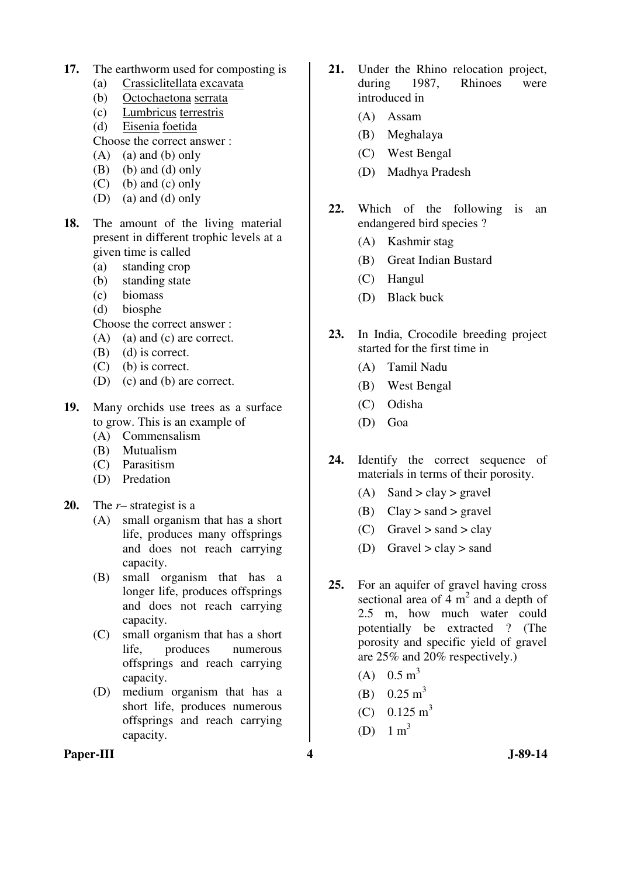- **17.** The earthworm used for composting is
	- (a) Crassiclitellata excavata
	- (b) Octochaetona serrata
	- (c) Lumbricus terrestris
	- (d) Eisenia foetida
	- Choose the correct answer :
	- (A) (a) and (b) only
	- (B) (b) and (d) only
	- $(C)$  (b) and  $(c)$  only
	- (D) (a) and (d) only
- **18.** The amount of the living material present in different trophic levels at a given time is called
	- (a) standing crop
	- (b) standing state
	- (c) biomass
	- (d) biosphe
	- Choose the correct answer :
	- (A) (a) and (c) are correct.
	- (B) (d) is correct.
	- (C) (b) is correct.
	- (D) (c) and (b) are correct.
- **19.** Many orchids use trees as a surface to grow. This is an example of
	- (A) Commensalism
	- (B) Mutualism
	- (C) Parasitism
	- (D) Predation
- **20.** The *r* strategist is a
	- (A) small organism that has a short life, produces many offsprings and does not reach carrying capacity.
	- (B) small organism that has a longer life, produces offsprings and does not reach carrying capacity.
	- (C) small organism that has a short life, produces numerous offsprings and reach carrying capacity.
	- (D) medium organism that has a short life, produces numerous offsprings and reach carrying capacity.
- **21.** Under the Rhino relocation project, during 1987, Rhinoes were introduced in
	- (A) Assam
	- (B) Meghalaya
	- (C) West Bengal
	- (D) Madhya Pradesh
- **22.** Which of the following is an endangered bird species ?
	- (A) Kashmir stag
	- (B) Great Indian Bustard
	- (C) Hangul
	- (D) Black buck
- **23.** In India, Crocodile breeding project started for the first time in
	- (A) Tamil Nadu
	- (B) West Bengal
	- (C) Odisha
	- (D) Goa
- **24.** Identify the correct sequence of materials in terms of their porosity.
	- (A) Sand > clay > gravel
	- (B) Clay  $>$  sand  $>$  gravel
	- (C) Gravel  $>$  sand  $>$  clay
	- (D) Gravel  $>$  clay  $>$  sand
- **25.** For an aquifer of gravel having cross sectional area of  $4 \text{ m}^2$  and a depth of 2.5 m, how much water could potentially be extracted ? (The porosity and specific yield of gravel are 25% and 20% respectively.)
	- (A)  $0.5 \text{ m}^3$
	- (B)  $0.25 \text{ m}^3$
	- $(C)$  0.125 m<sup>3</sup>
	- (D)  $1 \text{ m}^3$

#### **Paper-III 4 J-89-14**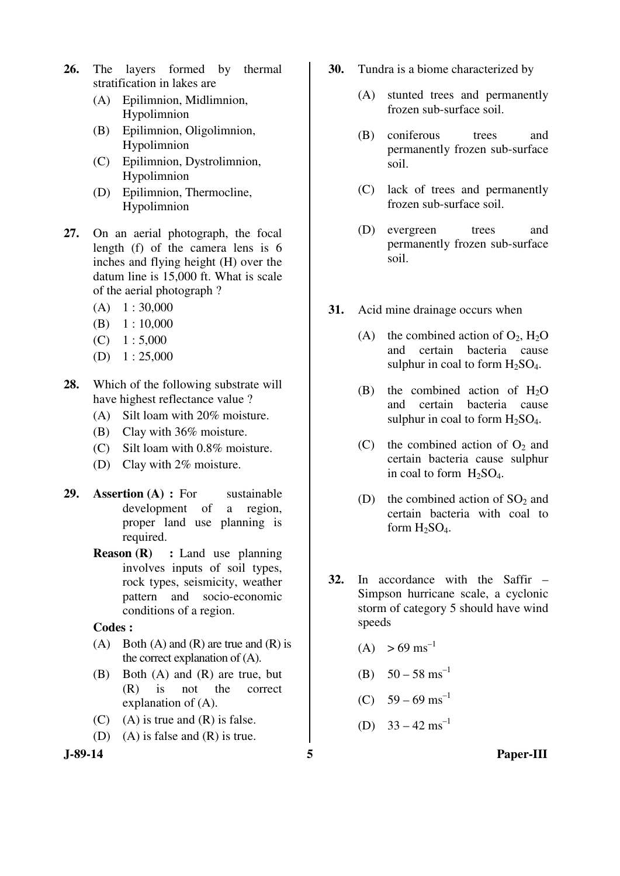- **26.** The layers formed by thermal stratification in lakes are
	- (A) Epilimnion, Midlimnion, Hypolimnion
	- (B) Epilimnion, Oligolimnion, Hypolimnion
	- (C) Epilimnion, Dystrolimnion, Hypolimnion
	- (D) Epilimnion, Thermocline, Hypolimnion
- **27.** On an aerial photograph, the focal length (f) of the camera lens is 6 inches and flying height (H) over the datum line is 15,000 ft. What is scale of the aerial photograph ?
	- $(A)$  1 : 30,000
	- $(B) 1 : 10,000$
	- $(C) \quad 1: 5,000$
	- $(D) \quad 1: 25,000$
- **28.** Which of the following substrate will have highest reflectance value ?
	- (A) Silt loam with 20% moisture.
	- (B) Clay with 36% moisture.
	- (C) Silt loam with 0.8% moisture.
	- (D) Clay with 2% moisture.
- **29. Assertion (A) :** For sustainable development of a region, proper land use planning is required.
	- **Reason (R) :** Land use planning involves inputs of soil types, rock types, seismicity, weather pattern and socio-economic conditions of a region.
	- **Codes :**
	- (A) Both (A) and (R) are true and (R) is the correct explanation of (A).
	- (B) Both (A) and (R) are true, but (R) is not the correct explanation of (A).
	- $(C)$  (A) is true and  $(R)$  is false.
	- (D) (A) is false and (R) is true.
- 
- **30.** Tundra is a biome characterized by
	- (A) stunted trees and permanently frozen sub-surface soil.
	- (B) coniferous trees and permanently frozen sub-surface soil.
	- (C) lack of trees and permanently frozen sub-surface soil.
	- (D) evergreen trees and permanently frozen sub-surface soil.
- **31.** Acid mine drainage occurs when
	- (A) the combined action of  $O_2$ ,  $H_2O$ and certain bacteria cause sulphur in coal to form  $H_2SO_4$ .
	- (B) the combined action of  $H<sub>2</sub>O$ and certain bacteria cause sulphur in coal to form  $H_2SO_4$ .
	- (C) the combined action of  $O_2$  and certain bacteria cause sulphur in coal to form  $H_2SO_4$ .
	- (D) the combined action of  $SO<sub>2</sub>$  and certain bacteria with coal to form  $H<sub>2</sub>SO<sub>4</sub>$ .
- **32.** In accordance with the Saffir Simpson hurricane scale, a cyclonic storm of category 5 should have wind speeds
	- $(A) > 69 \text{ ms}^{-1}$
	- (B)  $50 58$  ms<sup>-1</sup>
	- (C)  $59 69$  ms<sup>-1</sup>
	- (D)  $33 42 \text{ ms}^{-1}$
- **J-89-14 5 Paper-III**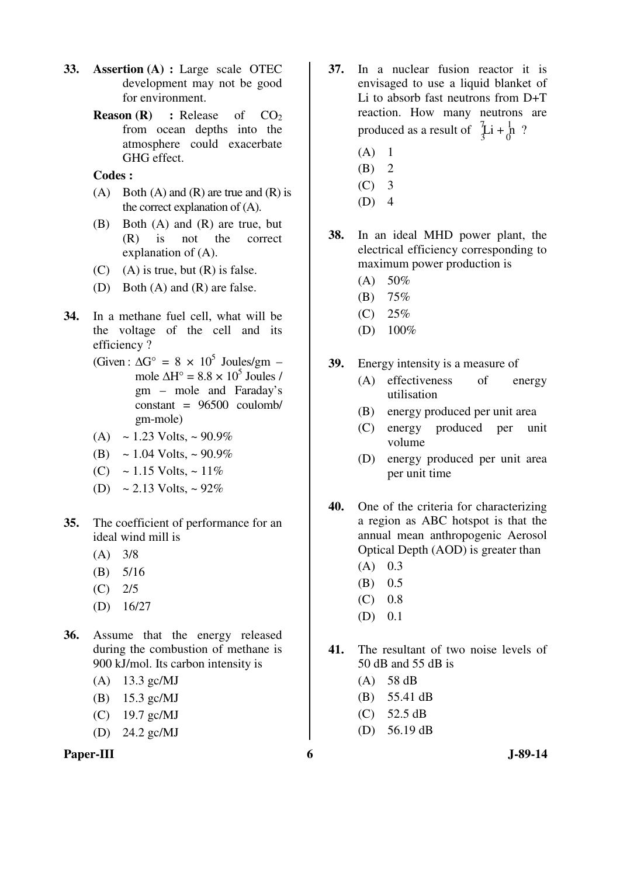- **33. Assertion (A) :** Large scale OTEC development may not be good for environment.
	- **Reason (R)** : Release of CO<sub>2</sub> from ocean depths into the atmosphere could exacerbate GHG effect.

#### **Codes :**

- $(A)$  Both  $(A)$  and  $(R)$  are true and  $(R)$  is the correct explanation of (A).
- (B) Both (A) and (R) are true, but (R) is not the correct explanation of (A).
- $(C)$  (A) is true, but  $(R)$  is false.
- (D) Both (A) and (R) are false.
- **34.** In a methane fuel cell, what will be the voltage of the cell and its efficiency ?
- (Given:  $\Delta G^{\circ} = 8 \times 10^{5}$  Joules/gm mole  $\Delta H^{\circ} = 8.8 \times 10^{5}$  Joules / gm – mole and Faraday's constant = 96500 coulomb/ gm-mole)
	- (A)  $\sim$  1.23 Volts,  $\sim$  90.9%
	- (B)  $\sim 1.04$  Volts,  $\sim 90.9\%$
	- (C) ~ 1.15 Volts, ~ 11%
	- (D)  $\sim 2.13$  Volts,  $\sim 92\%$
- **35.** The coefficient of performance for an ideal wind mill is
	- $(A)$  3/8
	- (B) 5/16
	- $(C)$  2/5
	- (D) 16/27
- **36.** Assume that the energy released during the combustion of methane is 900 kJ/mol. Its carbon intensity is
	- (A) 13.3 gc/MJ
	- (B) 15.3 gc/MJ
	- (C) 19.7 gc/MJ
	- (D) 24.2 gc/MJ



- **37.** In a nuclear fusion reactor it is envisaged to use a liquid blanket of Li to absorb fast neutrons from D+T reaction. How many neutrons are produced as a result of  $\int_3^7 \text{Li} + \frac{1}{0} \cdot \text{?}$ 
	- $(A)$  1
	- $(B)$  2
	- $(C)$  3
	- $(D)$  4
- **38.** In an ideal MHD power plant, the electrical efficiency corresponding to maximum power production is
	- $(A) 50%$
	- (B) 75%
	- $(C) 25%$
	- $(D)$  100%
- **39.** Energy intensity is a measure of
	- (A) effectiveness of energy utilisation
	- (B) energy produced per unit area
	- (C) energy produced per unit volume
	- (D) energy produced per unit area per unit time
- **40.** One of the criteria for characterizing a region as ABC hotspot is that the annual mean anthropogenic Aerosol Optical Depth (AOD) is greater than
	- $(A)$  0.3
	- (B) 0.5
	- $(C)$  0.8
	- (D) 0.1
- **41.** The resultant of two noise levels of 50 dB and 55 dB is
	- (A) 58 dB
	- (B) 55.41 dB
	- (C) 52.5 dB
	- (D) 56.19 dB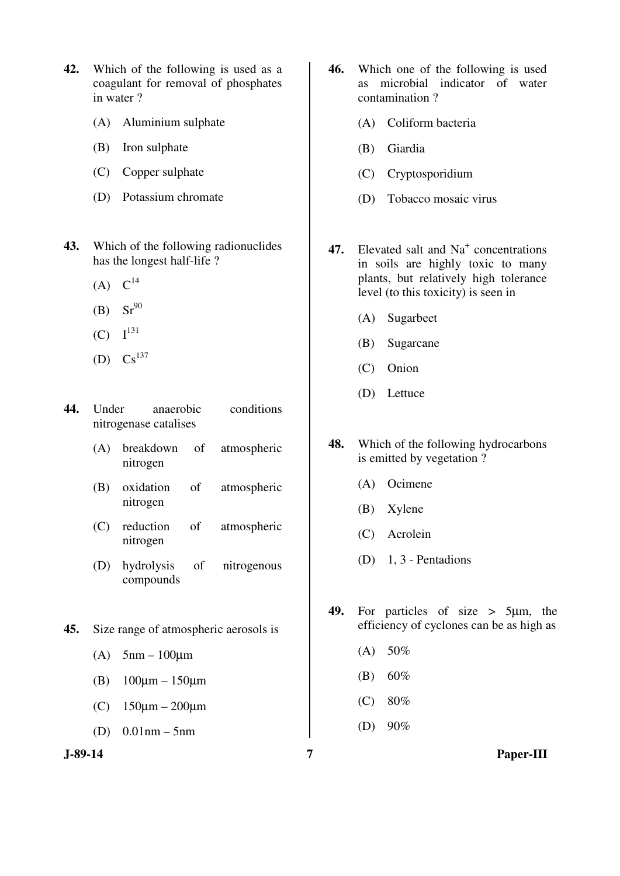- **42.** Which of the following is used as a coagulant for removal of phosphates in water ?
	- (A) Aluminium sulphate
	- (B) Iron sulphate
	- (C) Copper sulphate
	- (D) Potassium chromate
- **43.** Which of the following radionuclides has the longest half-life ?
	- $(A) C^{14}$
	- (B)  $Sr^{90}$
	- $(C)$   $I^{131}$
	- (D)  $Cs^{137}$
- **44.** Under anaerobic conditions nitrogenase catalises
	- (A) breakdown of atmospheric nitrogen
	- (B) oxidation of atmospheric nitrogen
	- (C) reduction of atmospheric nitrogen
	- (D) hydrolysis of nitrogenous compounds
- **45.** Size range of atmospheric aerosols is
	- (A)  $5 \text{nm} 100 \text{nm}$
	- (B) 100µm 150µm
	- (C) 150µm 200µm
	- (D) 0.01nm 5nm
- **46.** Which one of the following is used as microbial indicator of water contamination ?
	- (A) Coliform bacteria
	- (B) Giardia
	- (C) Cryptosporidium
	- (D) Tobacco mosaic virus
- 47. Elevated salt and Na<sup>+</sup> concentrations in soils are highly toxic to many plants, but relatively high tolerance level (to this toxicity) is seen in
	- (A) Sugarbeet
	- (B) Sugarcane
	- (C) Onion
	- (D) Lettuce
- **48.** Which of the following hydrocarbons is emitted by vegetation ?
	- (A) Ocimene
	- (B) Xylene
	- (C) Acrolein
	- (D) 1, 3 Pentadions
- **49.** For particles of size > 5µm, the efficiency of cyclones can be as high as
	- $(A) 50%$
	- (B) 60%
	- (C) 80%
	- (D) 90%

**J-89-14 7 Paper-III**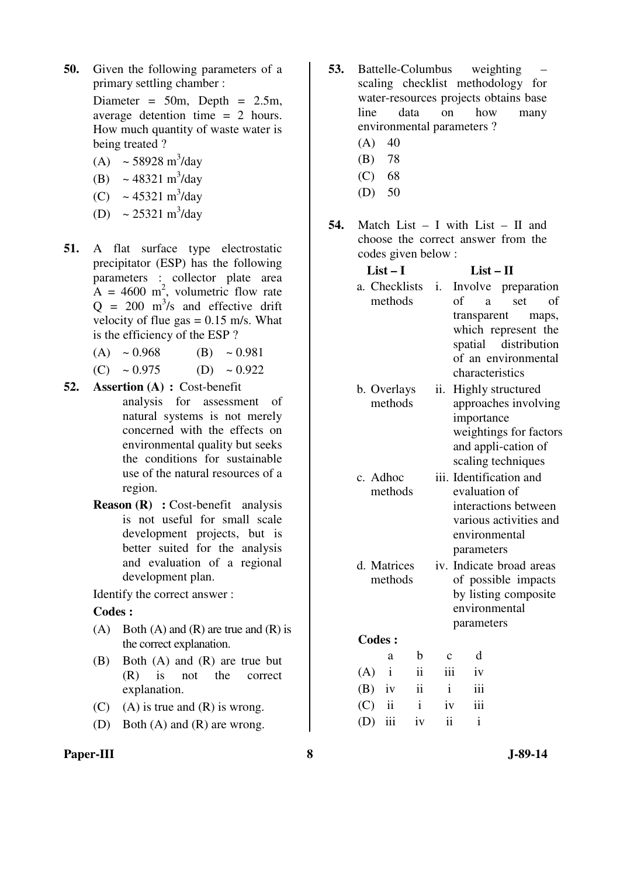**50.** Given the following parameters of a primary settling chamber :

> Diameter =  $50m$ , Depth =  $2.5m$ , average detention time = 2 hours. How much quantity of waste water is being treated ?

- (A)  $\sim$  58928 m<sup>3</sup>/day
- (B)  $\sim 48321 \text{ m}^3/\text{day}$
- (C)  $\sim 45321 \text{ m}^3/\text{day}$
- (D)  $\sim 25321 \text{ m}^3/\text{day}$
- **51.** A flat surface type electrostatic precipitator (ESP) has the following parameters : collector plate area  $A = 4600$  m<sup>2</sup>, volumetric flow rate  $Q = 200$  m<sup>3</sup>/s and effective drift velocity of flue gas  $= 0.15$  m/s. What is the efficiency of the ESP ?
	- (A)  $\sim 0.968$  (B)  $\sim 0.981$
	- (C)  $\sim 0.975$  (D)  $\sim 0.922$
- **52. Assertion (A) :** Cost-benefit analysis for assessment of natural systems is not merely concerned with the effects on environmental quality but seeks the conditions for sustainable use of the natural resources of a region.
	- **Reason (R)** : Cost-benefit analysis is not useful for small scale development projects, but is better suited for the analysis and evaluation of a regional development plan.

Identify the correct answer :

#### **Codes :**

- (A) Both (A) and (R) are true and (R) is the correct explanation.
- (B) Both (A) and (R) are true but (R) is not the correct explanation.
- (C) (A) is true and  $(R)$  is wrong.
- (D) Both (A) and (R) are wrong.
- **Paper-III** 3 **3 J-89-14**
- **53.** Battelle-Columbus weighting scaling checklist methodology for water-resources projects obtains base line data on how many environmental parameters ?
	- $(A)$  40
	- (B) 78
	- (C) 68
	- $(D) 50$
- **54.** Match List I with List II and choose the correct answer from the codes given below :

|     | $List-I$ |               |              |              | $List - II$                              |                                      |  |     |  |       |
|-----|----------|---------------|--------------|--------------|------------------------------------------|--------------------------------------|--|-----|--|-------|
|     |          | a. Checklists |              | i.           |                                          | Involve preparation                  |  |     |  |       |
|     |          | methods       |              |              | of                                       | a                                    |  | set |  | of    |
|     |          |               |              |              |                                          | transparent                          |  |     |  | maps, |
|     |          |               |              |              |                                          | which represent the                  |  |     |  |       |
|     |          |               |              |              |                                          | spatial distribution                 |  |     |  |       |
|     |          |               |              |              |                                          | of an environmental                  |  |     |  |       |
|     |          |               |              |              |                                          | characteristics                      |  |     |  |       |
|     |          | b. Overlays   |              | ii.          |                                          | Highly structured                    |  |     |  |       |
|     |          | methods       |              |              |                                          | approaches involving                 |  |     |  |       |
|     |          |               |              |              |                                          | importance<br>weightings for factors |  |     |  |       |
|     |          |               |              |              |                                          | and appli-cation of                  |  |     |  |       |
|     |          |               |              |              |                                          | scaling techniques                   |  |     |  |       |
|     |          | c. Adhoc      |              |              |                                          |                                      |  |     |  |       |
|     |          | methods       |              |              | iii. Identification and<br>evaluation of |                                      |  |     |  |       |
|     |          |               |              |              | interactions between                     |                                      |  |     |  |       |
|     |          |               |              |              | various activities and                   |                                      |  |     |  |       |
|     |          |               |              |              | environmental                            |                                      |  |     |  |       |
|     |          |               |              |              |                                          | parameters                           |  |     |  |       |
|     |          | d. Matrices   |              |              |                                          | iv. Indicate broad areas             |  |     |  |       |
|     |          | methods       |              |              | of possible impacts                      |                                      |  |     |  |       |
|     |          |               |              |              |                                          | by listing composite                 |  |     |  |       |
|     |          |               |              |              |                                          | environmental                        |  |     |  |       |
|     |          |               |              |              |                                          | parameters                           |  |     |  |       |
|     |          | <b>Codes:</b> |              |              |                                          |                                      |  |     |  |       |
|     |          | a             | b            | $\mathbf{C}$ |                                          | d                                    |  |     |  |       |
| (A) |          | i             | ii           |              | iii                                      | iv                                   |  |     |  |       |
| (B) |          | iv            | ii           | $\mathbf{i}$ |                                          | iii                                  |  |     |  |       |
| (C) |          | ii            | $\mathbf{i}$ | iv           |                                          | iii                                  |  |     |  |       |
| (D) |          | iii           | iv           | ii           |                                          | $\mathbf{i}$                         |  |     |  |       |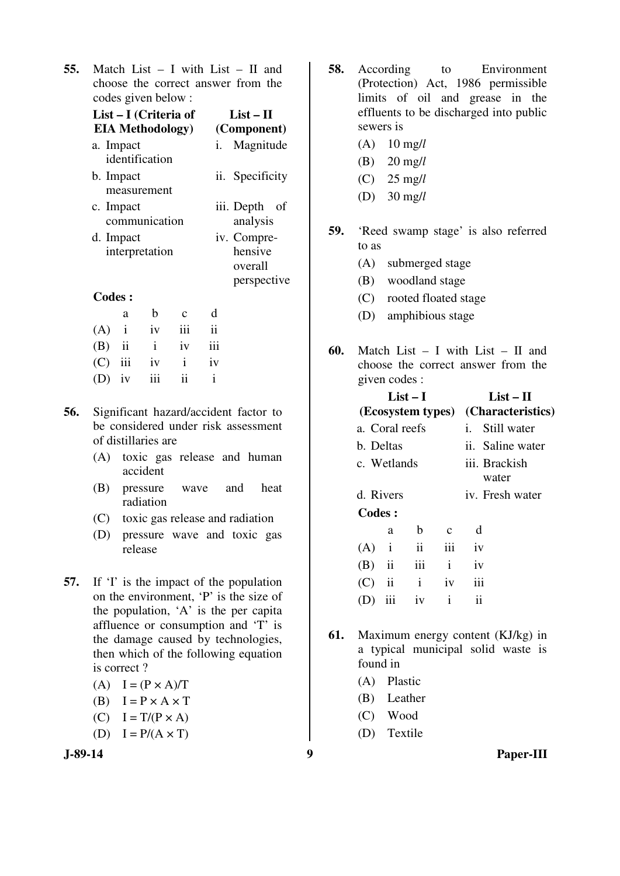**55.** Match List – I with List – II and choose the correct answer from the codes given below :

|     | List – I (Criteria of       |              |             |                           | $List-II$                                        |
|-----|-----------------------------|--------------|-------------|---------------------------|--------------------------------------------------|
|     | <b>EIA Methodology</b> )    |              |             | (Component)               |                                                  |
|     | a. Impact<br>identification |              | i.          | Magnitude                 |                                                  |
|     | b. Impact<br>measurement    |              |             | ii. Specificity           |                                                  |
|     | c. Impact<br>communication  |              |             | iii. Depth of<br>analysis |                                                  |
|     | d. Impact<br>interpretation |              |             |                           | iv. Compre-<br>hensive<br>overall<br>perspective |
|     | <b>Codes:</b>               |              |             |                           |                                                  |
|     | a                           | b            | $\mathbf c$ | d                         |                                                  |
| (A) | $\mathbf{i}$                | iv           | iii         | $\ddot{\mathbf{i}}$       |                                                  |
| (B) | $\mathbf{ii}$               | $\mathbf{i}$ | iv          | iii                       |                                                  |
| (C) | iii                         | iv           | i           | iv                        |                                                  |

**56.** Significant hazard/accident factor to be considered under risk assessment of distillaries are

 $(D)$  iv iii ii i

- (A) toxic gas release and human accident
- (B) pressure wave and heat radiation
- (C) toxic gas release and radiation
- (D) pressure wave and toxic gas release
- **57.** If 'I' is the impact of the population on the environment, 'P' is the size of the population, 'A' is the per capita affluence or consumption and 'T' is the damage caused by technologies, then which of the following equation is correct ?
	- (A)  $I = (P \times A)/T$
	- (B)  $I = P \times A \times T$
	- $(C)$   $I = T/(P \times A)$
	- (D)  $I = P/(A \times T)$



- **58.** According to Environment (Protection) Act, 1986 permissible limits of oil and grease in the effluents to be discharged into public sewers is
	- (A) 10 mg/*l*
	- (B) 20 mg/*l*
	- (C) 25 mg/*l*
	- (D) 30 mg/*l*
- **59.** 'Reed swamp stage' is also referred to as
	- (A) submerged stage
	- (B) woodland stage
	- (C) rooted floated stage
	- (D) amphibious stage
- **60.** Match List I with List II and choose the correct answer from the given codes :

| List $-$ I |                                     |              |               | List – H               |  |  |
|------------|-------------------------------------|--------------|---------------|------------------------|--|--|
|            | (Ecosystem types) (Characteristics) |              |               |                        |  |  |
|            | a. Coral reefs                      |              |               | i. Still water         |  |  |
| b. Deltas  |                                     |              |               | ii. Saline water       |  |  |
|            | c. Wetlands                         |              |               | iii. Brackish<br>water |  |  |
|            | d. Rivers                           |              |               | iv. Fresh water        |  |  |
| Codes:     |                                     |              |               |                        |  |  |
|            | a                                   | b            | $\mathcal{C}$ | <sub>d</sub>           |  |  |
| (A)        | $\mathbf{i}$                        | ii           | iii           | iv                     |  |  |
| (B)        | $\overline{\mathbf{ii}}$            | iii          | $\mathbf{i}$  | iv                     |  |  |
| (C)        | $\overline{\mathbf{u}}$             | $\mathbf{i}$ | iv            | iii                    |  |  |
|            | iii                                 | iv           | $\mathbf{i}$  | ij                     |  |  |
|            |                                     |              |               |                        |  |  |

- **61.** Maximum energy content (KJ/kg) in a typical municipal solid waste is found in
	- (A) Plastic
	- (B) Leather
	- (C) Wood
	- (D) Textile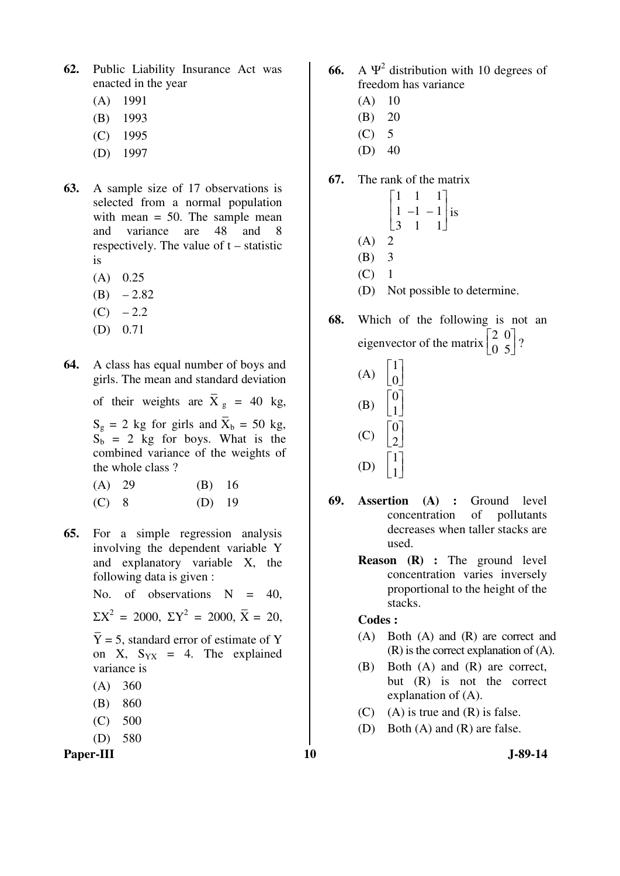- **62.** Public Liability Insurance Act was enacted in the year
	- (A) 1991
	- (B) 1993
	- (C) 1995
	- (D) 1997
- **63.** A sample size of 17 observations is selected from a normal population with mean = 50. The sample mean and variance are 48 and 8 respectively. The value of t – statistic is
	- (A) 0.25
	- $(B) -2.82$
	- $(C) -2.2$
	- (D) 0.71
- **64.** A class has equal number of boys and girls. The mean and standard deviation

of their weights are  $\overline{X}_g = 40$  kg,

 $S_g = 2$  kg for girls and  $\overline{X}_b = 50$  kg,  $S_b = 2$  kg for boys. What is the combined variance of the weights of the whole class ?

| $(A)$ 29 | $(B)$ 16 |  |
|----------|----------|--|
| $(C)$ 8  | $(D)$ 19 |  |

**65.** For a simple regression analysis involving the dependent variable Y and explanatory variable X, the following data is given :

No. of observations  $N = 40$ ,

- $\Sigma X^2 = 2000, \ \Sigma Y^2 = 2000, \ \overline{X} = 20,$
- Y –  $= 5$ , standard error of estimate of Y on X,  $S_{YX} = 4$ . The explained variance is
- (A) 360
- (B) 860
- (C) 500
- (D) 580

Paper-III **10** J-89-14

- **66.** A  $\Psi^2$  distribution with 10 degrees of freedom has variance
	- $(A)$  10
	- (B) 20
	- $(C)$  5
	- $(D)$  40

## **67.** The rank of the matrix

- L  $\mathsf{I}$  $\begin{vmatrix} 1 & 1 \\ 1 & -1 \end{vmatrix}$  is Г 1 1 1 3 1 1  $(A)$  2 (B) 3  $(C)$  1 (D) Not possible to determine.
- **68.** Which of the following is not an eigenvector of the matrix  $\begin{bmatrix} \n\end{bmatrix}$  $\begin{bmatrix} 2 & 0 \ 0 & 5 \end{bmatrix}$  $\begin{bmatrix} 0 & 5 \end{bmatrix}$ ?

| (A) | $\frac{1}{2}$ |
|-----|---------------|
| (B) |               |
| (C) |               |
| (D) |               |

- **69. Assertion (A) :** Ground level concentration of pollutants decreases when taller stacks are used.
	- **Reason (R) :** The ground level concentration varies inversely proportional to the height of the stacks.

## **Codes :**

- (A) Both (A) and (R) are correct and (R) is the correct explanation of (A).
- (B) Both (A) and (R) are correct, but (R) is not the correct explanation of (A).
- $(C)$  (A) is true and  $(R)$  is false.
- (D) Both (A) and (R) are false.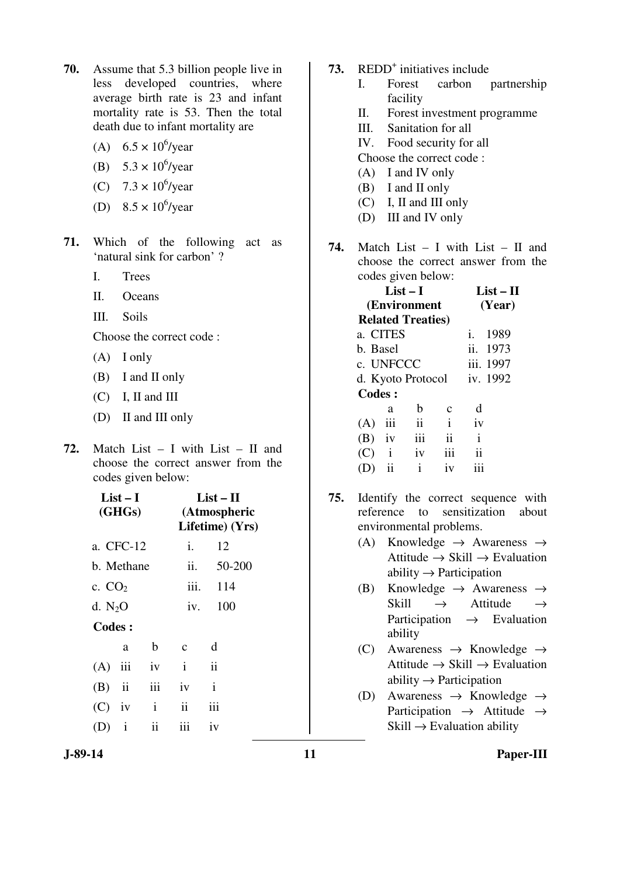- **70.** Assume that 5.3 billion people live in less developed countries, where average birth rate is 23 and infant mortality rate is 53. Then the total death due to infant mortality are
- (A)  $6.5 \times 10^6$ /year
- (B)  $5.3 \times 10^6$ /year
- (C)  $7.3 \times 10^6$ /year
- (D)  $8.5 \times 10^6$ /year
- **71.** Which of the following act as 'natural sink for carbon' ?
	- I. Trees
	- II. Oceans
	- III. Soils

Choose the correct code :

- (A) I only
- (B) I and II only
- (C) I, II and III
- (D) II and III only
- **72.** Match List I with List II and choose the correct answer from the codes given below:

| List – I<br>(GHGs) |              |              |              | $List-II$<br>(Atmospheric<br>Lifetime) (Yrs) |
|--------------------|--------------|--------------|--------------|----------------------------------------------|
|                    | a. CFC-12    | i.           | 12           |                                              |
| b. Methane         |              |              | ii.          | 50-200                                       |
| c. $CO2$           |              |              | iii.         | 114                                          |
| d. $N_2O$          |              |              | iv.          | 100                                          |
| <b>Codes:</b>      |              |              |              |                                              |
|                    | a            | b            | $\mathbf c$  | d                                            |
| $(A)$ iii          |              | iv           | $\mathbf{i}$ | $\ddot{\mathbf{i}}$                          |
| $(B)$ ii           |              | iii          | iv           | $\mathbf{i}$                                 |
| $(C)$ iv           |              | $\mathbf{i}$ | ii           | iii                                          |
|                    | $\mathbf{i}$ | ii           | iii          | iv                                           |
|                    |              |              |              |                                              |

- 73. REDD<sup>+</sup> initiatives include
	- I. Forest carbon partnership facility
	- II. Forest investment programme
	- III. Sanitation for all
	- IV. Food security for all
	- Choose the correct code :
	- (A) I and IV only
	- (B) I and II only
	- (C) I, II and III only
	- (D) III and IV only
- **74.** Match List I with List II and choose the correct answer from the codes given below:

|               | List $-$ I<br>(Environment |              |                          |              |         |  |
|---------------|----------------------------|--------------|--------------------------|--------------|---------|--|
|               | <b>Related Treaties)</b>   |              |                          |              |         |  |
| a. CITES      |                            |              |                          |              | i. 1989 |  |
|               | b. Basel                   |              |                          |              |         |  |
|               | c. UNFCCC                  |              |                          |              |         |  |
|               | d. Kyoto Protocol iv. 1992 |              |                          |              |         |  |
| <b>Codes:</b> |                            |              |                          |              |         |  |
|               | a                          | b            | C                        | d            |         |  |
| (A)           | iii                        | ii           | $\mathbf{i}$             | iv           |         |  |
| $(B)$ iv      |                            | iii          | $\overline{\mathbf{ii}}$ | $\mathbf{i}$ |         |  |
| $(C)$ i       |                            | iv           | iii                      | ii           |         |  |
|               | $\overline{\mathbf{u}}$    | $\mathbf{i}$ | iv                       |              |         |  |

- **75.** Identify the correct sequence with reference to sensitization about environmental problems.
	- (A) Knowledge  $\rightarrow$  Awareness  $\rightarrow$ Attitude  $\rightarrow$  Skill  $\rightarrow$  Evaluation ability  $\rightarrow$  Participation
	- (B) Knowledge  $\rightarrow$  Awareness  $\rightarrow$ Skill  $\rightarrow$  Attitude  $\rightarrow$ Participation  $\rightarrow$  Evaluation ability
	- (C) Awareness  $\rightarrow$  Knowledge  $\rightarrow$ Attitude  $\rightarrow$  Skill  $\rightarrow$  Evaluation ability  $\rightarrow$  Participation
	- (D) Awareness  $\rightarrow$  Knowledge  $\rightarrow$ Participation  $\rightarrow$  Attitude  $\rightarrow$  $Skill \rightarrow$  Evaluation ability

**J-89-14 11 Paper-III**